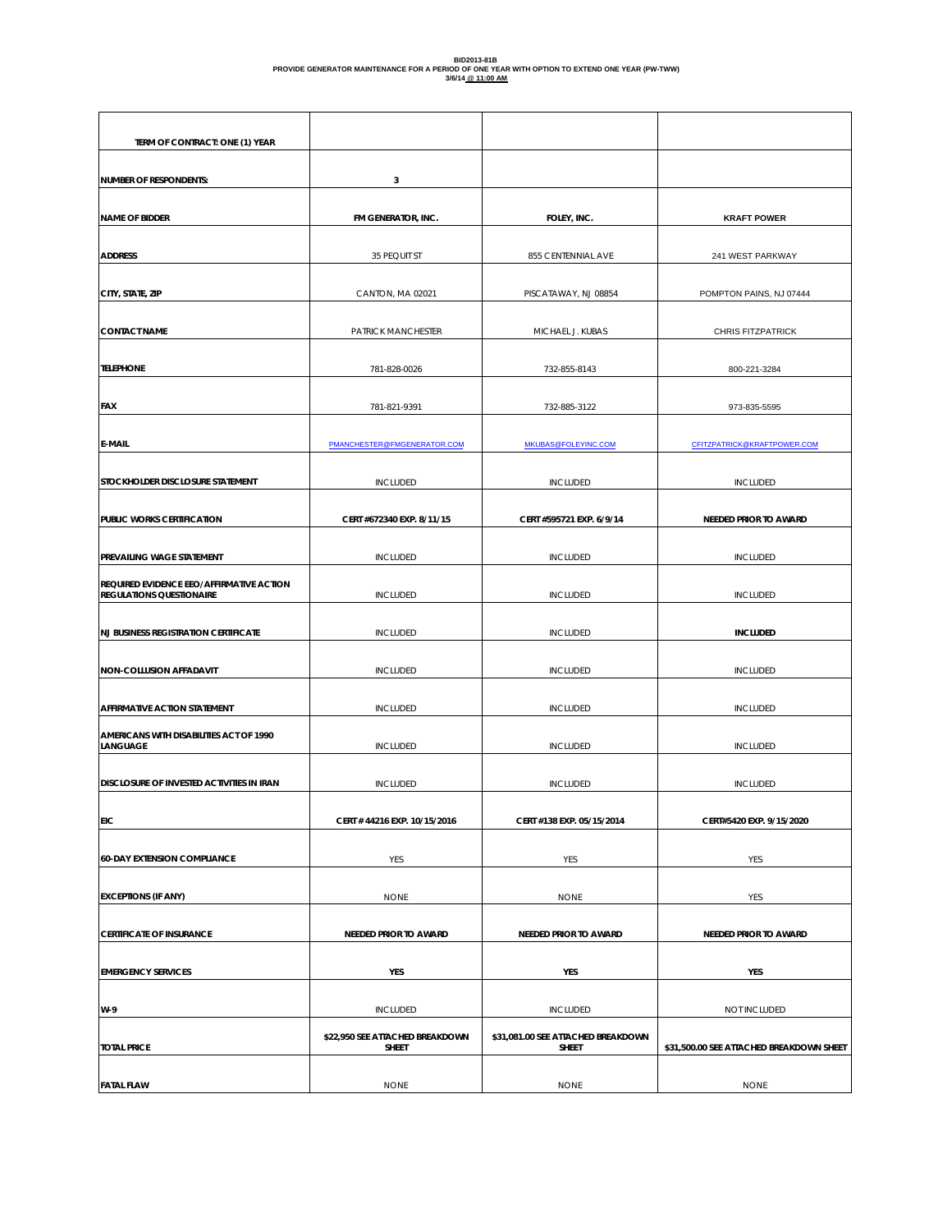# **BID2013-81B PROVIDE GENERATOR MAINTENANCE FOR A PERIOD OF ONE YEAR WITH OPTION TO EXTEND ONE YEAR (PW-TWW) 3/6/14 @ 11:00 AM**

| TERM OF CONTRACT: ONE (1) YEAR                                              |                                                 |                                             |                                          |
|-----------------------------------------------------------------------------|-------------------------------------------------|---------------------------------------------|------------------------------------------|
| <b>NUMBER OF RESPONDENTS:</b>                                               | 3                                               |                                             |                                          |
| <b>NAME OF BIDDER</b>                                                       | FM GENERATOR, INC.                              | FOLEY, INC.                                 | <b>KRAFT POWER</b>                       |
| <b>ADDRESS</b>                                                              | 35 PEQUIT ST                                    | 855 CENTENNIAL AVE                          | 241 WEST PARKWAY                         |
| CITY, STATE, ZIP                                                            | CANTON, MA 02021                                | PISCATAWAY, NJ 08854                        | POMPTON PAINS, NJ 07444                  |
| <b>CONTACT NAME</b>                                                         | PATRICK MANCHESTER                              | MICHAEL J. KUBAS                            | CHRIS FITZPATRICK                        |
| <b>TELEPHONE</b>                                                            | 781-828-0026                                    | 732-855-8143                                | 800-221-3284                             |
| <b>FAX</b>                                                                  | 781-821-9391                                    | 732-885-3122                                | 973-835-5595                             |
| <b>E-MAIL</b>                                                               | PMANCHESTER@FMGENERATOR.COM                     | MKUBAS@FOLEYINC.COM                         | CFITZPATRICK@KRAFTPOWER.COM              |
| STOCKHOLDER DISCLOSURE STATEMENT                                            | <b>INCLUDED</b>                                 | <b>INCLUDED</b>                             | <b>INCLUDED</b>                          |
| PUBLIC WORKS CERTIFICATION                                                  | CERT #672340 EXP. 8/11/15                       | CERT #595721 EXP. 6/9/14                    | NEEDED PRIOR TO AWARD                    |
| PREVAILING WAGE STATEMENT                                                   | <b>INCLUDED</b>                                 | <b>INCLUDED</b>                             | <b>INCLUDED</b>                          |
| REQUIRED EVIDENCE EEO/AFFIRMATIVE ACTION<br><b>REGULATIONS QUESTIONAIRE</b> | <b>INCLUDED</b>                                 | <b>INCLUDED</b>                             | <b>INCLUDED</b>                          |
| <b>NJ BUSINESS REGISTRATION CERTIFICATE</b>                                 | <b>INCLUDED</b>                                 | <b>INCLUDED</b>                             | <b>INCLUDED</b>                          |
| NON-COLLUSION AFFADAVIT                                                     | <b>INCLUDED</b>                                 | <b>INCLUDED</b>                             | <b>INCLUDED</b>                          |
| AFFIRMATIVE ACTION STATEMENT                                                | <b>INCLUDED</b>                                 | <b>INCLUDED</b>                             | <b>INCLUDED</b>                          |
| AMERICANS WITH DISABILITIES ACT OF 1990<br><b>LANGUAGE</b>                  | <b>INCLUDED</b>                                 | <b>INCLUDED</b>                             | <b>INCLUDED</b>                          |
| DISCLOSURE OF INVESTED ACTIVITIES IN IRAN                                   | <b>INCLUDED</b>                                 | <b>INCLUDED</b>                             | <b>INCLUDED</b>                          |
| <b>EIC</b>                                                                  | CERT # 44216 EXP. 10/15/2016                    | CERT #138 EXP. 05/15/2014                   | CERT#5420 EXP. 9/15/2020                 |
| <b>60-DAY EXTENSION COMPLIANCE</b>                                          | YES                                             | YES                                         | YES                                      |
| <b>EXCEPTIONS (IF ANY)</b>                                                  | <b>NONE</b>                                     | <b>NONE</b>                                 | YES                                      |
| <b>CERTIFICATE OF INSURANCE</b>                                             | NEEDED PRIOR TO AWARD                           | NEEDED PRIOR TO AWARD                       | NEEDED PRIOR TO AWARD                    |
| <b>EMERGENCY SERVICES</b>                                                   | YES                                             | YES                                         | YES                                      |
| W-9                                                                         | <b>INCLUDED</b>                                 | <b>INCLUDED</b>                             | NOT INCLUDED                             |
| <b>TOTAL PRICE</b>                                                          | \$22,950 SEE ATTACHED BREAKDOWN<br><b>SHEET</b> | \$31,081.00 SEE ATTACHED BREAKDOWN<br>SHEET | \$31,500.00 SEE ATTACHED BREAKDOWN SHEET |
| <b>FATAL FLAW</b>                                                           | <b>NONE</b>                                     | <b>NONE</b>                                 | <b>NONE</b>                              |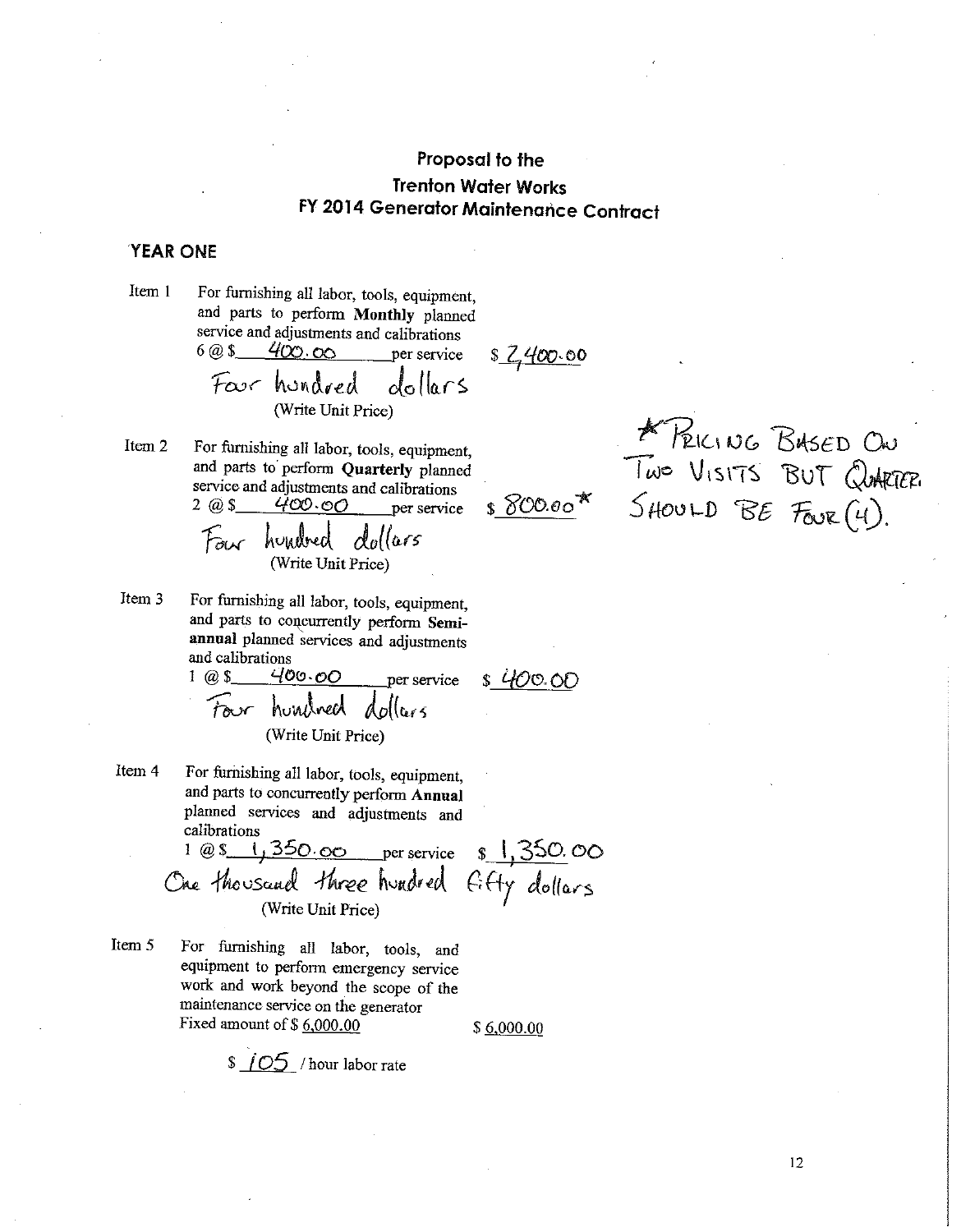### **YEAR ONE**

Item 1 For furnishing all labor, tools, equipment, and parts to perform Monthly planned service and adjustments and calibrations 6

Item 2 For furnishing all labor, tools, equipment, and parts to perform Quarterly planned service and adjustments and calibrations  $2 \overline{a} 5$  $400.00$ per service

Item 3 For furnishing all labor, tools, equipment, and parts to concurrently perform Semiannual planned services and adjustments and calibrations

Item 4 For furnishing all labor, tools, equipment. and parts to concurrently perform Annual planned services and adjustments and calibrations

1 @s 1,350.00 per service s 1,350.00<br>One thousand three hundred fifty dollars (Write Unit Price)

Item 5 For furnishing all labor, tools, and equipment to perform emergency service work and work beyond the scope of the maintenance service on the generator Fixed amount of  $$6,000.00$ 

 $$6,000.00$ 

 $$105$  / hour labor rate

K PEICING BASED ON

400.00

<u>s Z 400.00</u>

 $$800.00*$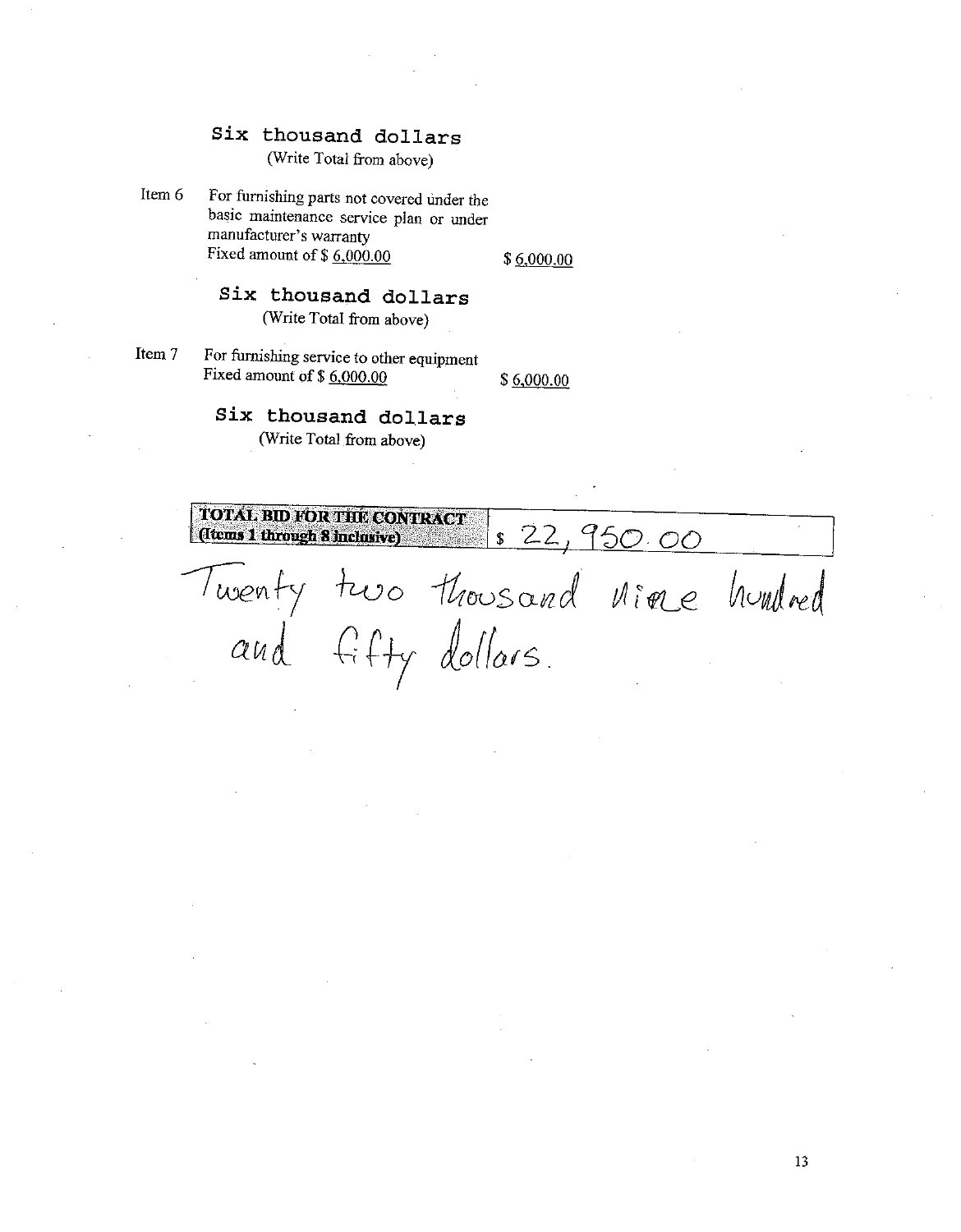(Write Total from above)

Item 6 For furnishing parts not covered under the basic maintenance service plan or under manufacturer's warranty Fixed amount of  $$6,000.00$ 

 $$6,000.00$ 

- Six thousand dollars (Write Total from above)
- For furnishing service to other equipment Item 7 Fixed amount of \$6,000.00

\$6,000.00

# Six thousand dollars

(Write Total from above)

**TOTAL BID FOR THE CONTRACT** 22,950.00 (Items 1 through 8 inclusive)  $\mathfrak{S}$ Twenty two thousand nine hundred<br>and fifty dollars.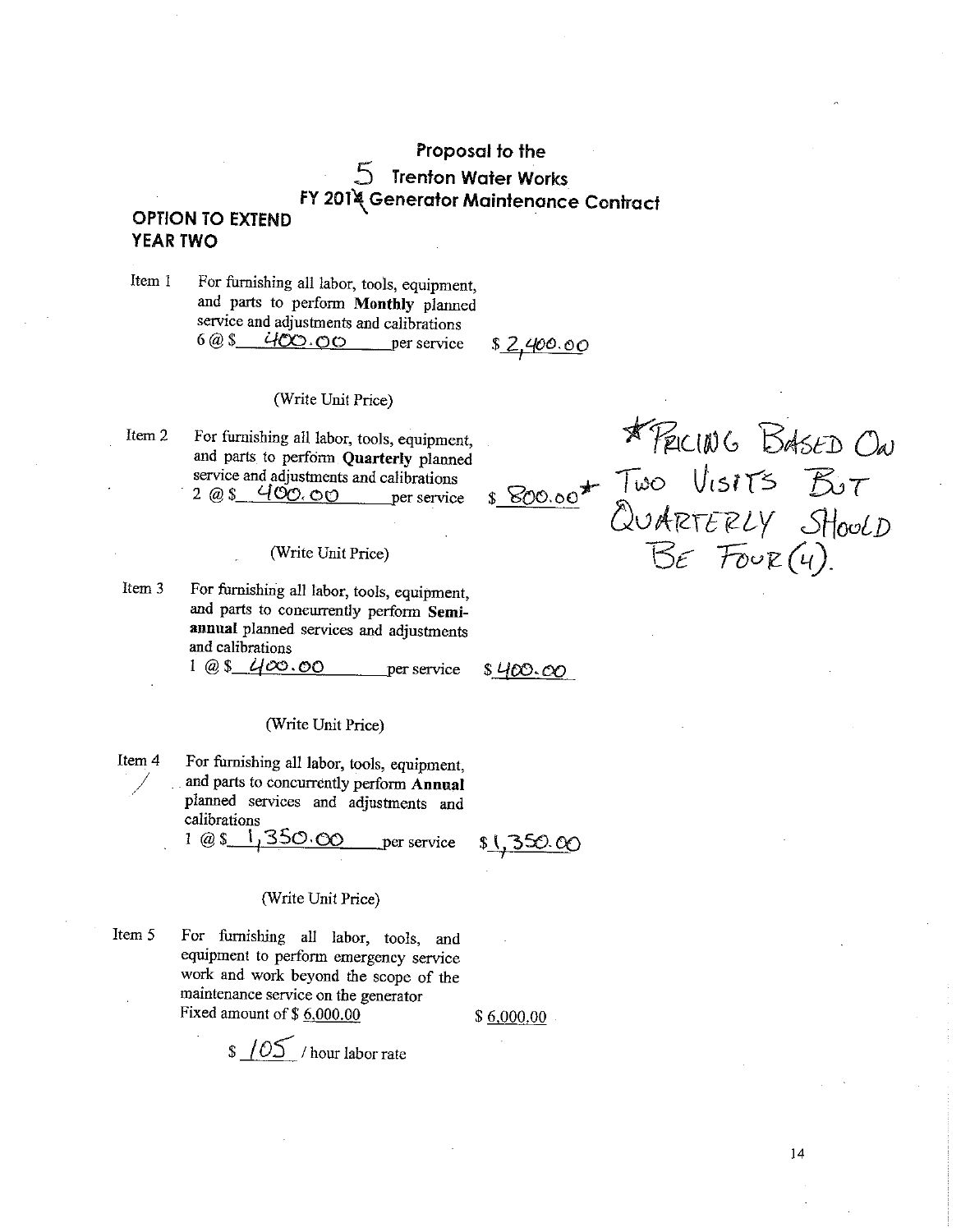### **OPTION TO EXTEND YEAR TWO**

Item 1 For furnishing all labor, tools, equipment, and parts to perform Monthly planned service and adjustments and calibrations  $608$  400.00 per service

\$2,400.00

\$800.00

#### (Write Unit Price)

Item<sub>2</sub> For furnishing all labor, tools, equipment, and parts to perform Quarterly planned service and adjustments and calibrations  $2.08$  400.00 per service

#### (Write Unit Price)

Item 3 For furnishing all labor, tools, equipment, and parts to concurrently perform Semiannual planned services and adjustments and calibrations

 $1 @ 8 400.00$ per service

 $$400.\infty$ 

#### (Write Unit Price)

Item 4 For furnishing all labor, tools, equipment, and parts to concurrently perform Annual planned services and adjustments and calibrations

> 350.00  $1 \omega s$ , per service

 $\mathbf{s}$ ,350.00

#### (Write Unit Price)

Item 5 For furnishing all labor, tools, and equipment to perform emergency service work and work beyond the scope of the maintenance service on the generator Fixed amount of  $$6,000.00$ 

 $$6,000,00$ 

 $\sqrt{0.05}$  / hour labor rate

\* PELLING BASED ON

Two VISITS BOT<br>QUARTERLY SHOUD<br>BE FOUR (4).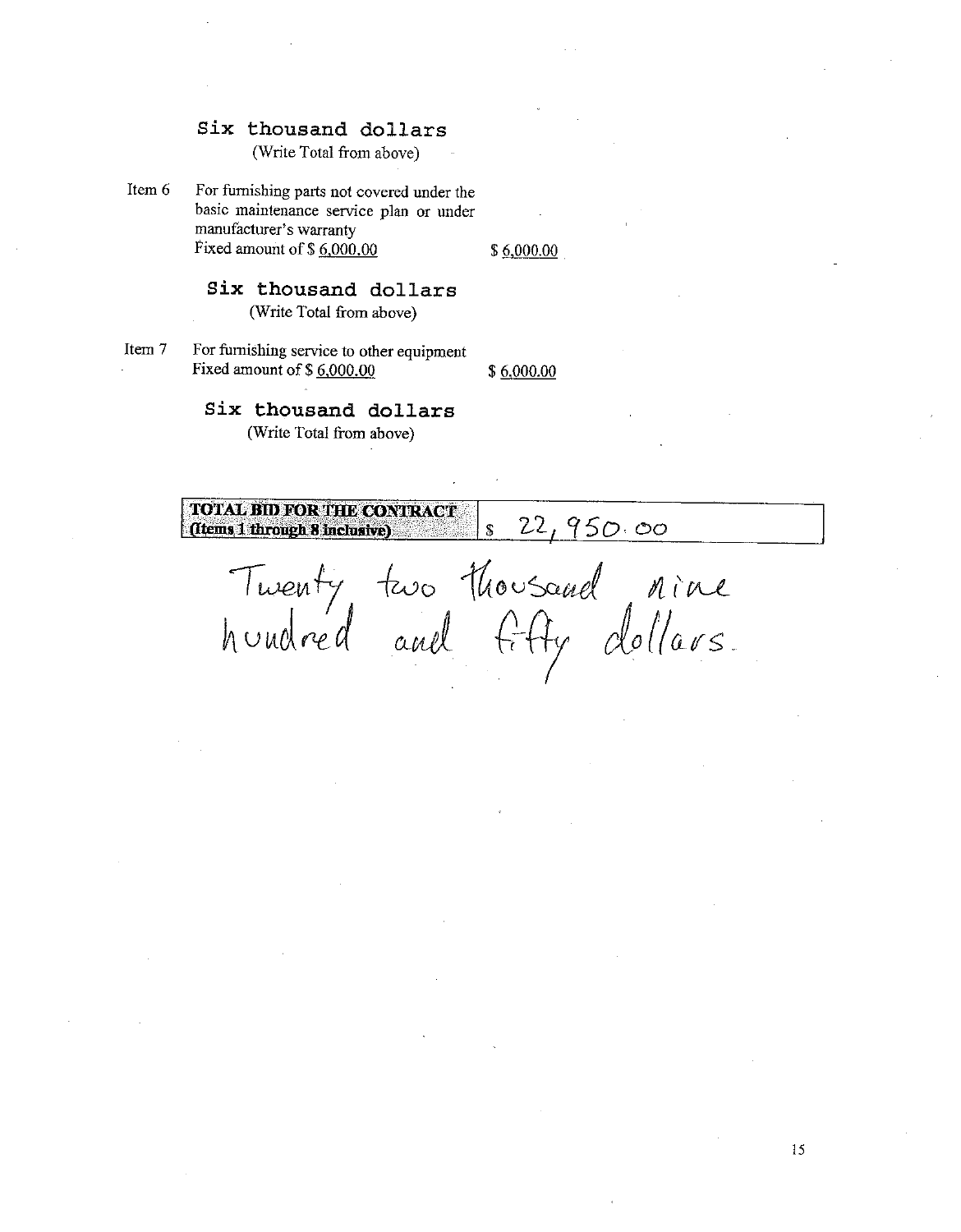(Write Total from above)

Item 6 For furnishing parts not covered under the basic maintenance service plan or under manufacturer's warranty Fixed amount of \$6,000,00

\$6,000.00

### Six thousand dollars (Write Total from above)

Item 7 For furnishing service to other equipment Fixed amount of \$6,000.00

\$6,000.00

### Six thousand dollars

(Write Total from above)

**TOTAL BID FOR THE CONTRACT** 22,950.00  $\hat{\mathbf{s}}$ (Items 1 through 8 inclusive)

Twenty two thousand nine<br>hundred and fifty dollars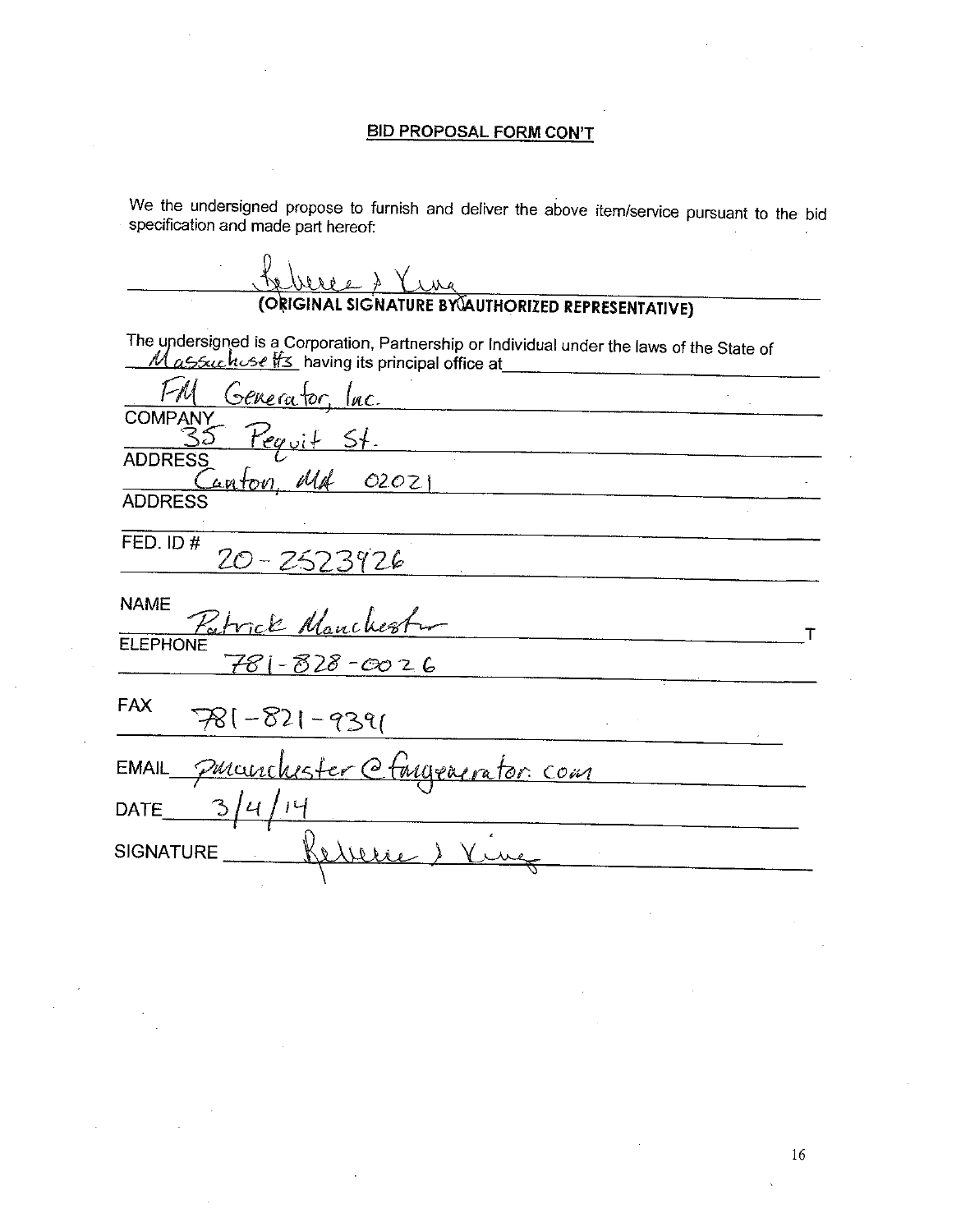#### **BID PROPOSAL FORM CON'T**

We the undersigned propose to furnish and deliver the above item/service pursuant to the bid specification and made part hereof:

 $\Delta$ (ORIGINAL SIGNATURE BY AUTHORIZED REPRESENTATIVE) The undersigned is a Corporation, Partnership or Individual under the laws of the State of Massuchuse #3 having its principal office at Generator <u>lac.</u> **COMPANY**  $51.$ **ADDRESS** 02021 anton **ADDRESS** FED. ID# 20-2523926 **NAME** anchester T rick **ELEPHONE** -828-0026 **FAX** 781-821 9391  $\mathcal{L}^{\mathcal{L}}$ manchester @ tingeaerator com **EMAIL**  $\mathcal{L}$ **DATE SIGNATURE**  $U(x)$  $\theta$  $\mathbf{r}$  and  $\mathbf{r}$  are the set of  $\mathbf{r}$  and  $\mathbf{r}$  are the set of  $\mathbf{r}$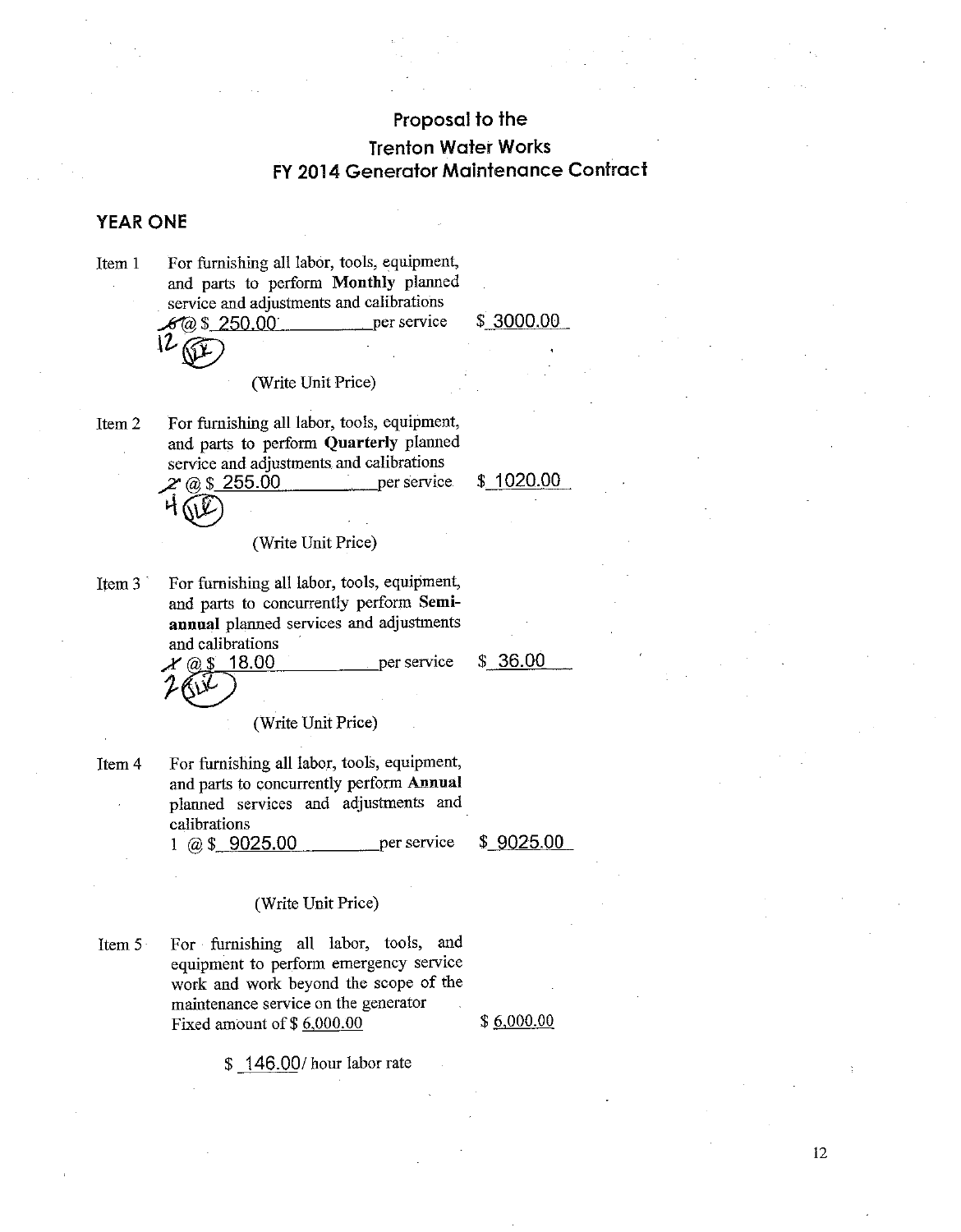### **YEAR ONE**

Item 1

For furnishing all labor, tools, equipment, and parts to perform Monthly planned service and adjustments and calibrations per service  $60 \text{ s} 250.00$ 

 $$3000.00$ 

# (Write Unit Price)

For furnishing all labor, tools, equipment, Item<sub>2</sub> and parts to perform Quarterly planned service and adjustments and calibrations  $2^{\circ}$  @ \$ 255.00 per service.

 $$1020.00$ 

(Write Unit Price)

For furnishing all labor, tools, equipment, Item  $3^{\circ}$ and parts to concurrently perform Semiannual planned services and adjustments and calibrations

18.00

 $@S$ 

 $$36.00$ 

per service

(Write Unit Price)

For furnishing all labor, tools, equipment, Item 4 and parts to concurrently perform Annual planned services and adjustments and calibrations 1 @  $$9025.00$ per service

 $$9025.00$ 

#### (Write Unit Price)

Item 5 For furnishing all labor, tools, and equipment to perform emergency service work and work beyond the scope of the maintenance service on the generator Fixed amount of  $$6,000.00$ 

 $$6,000.00$ 

\$146.00/hour labor rate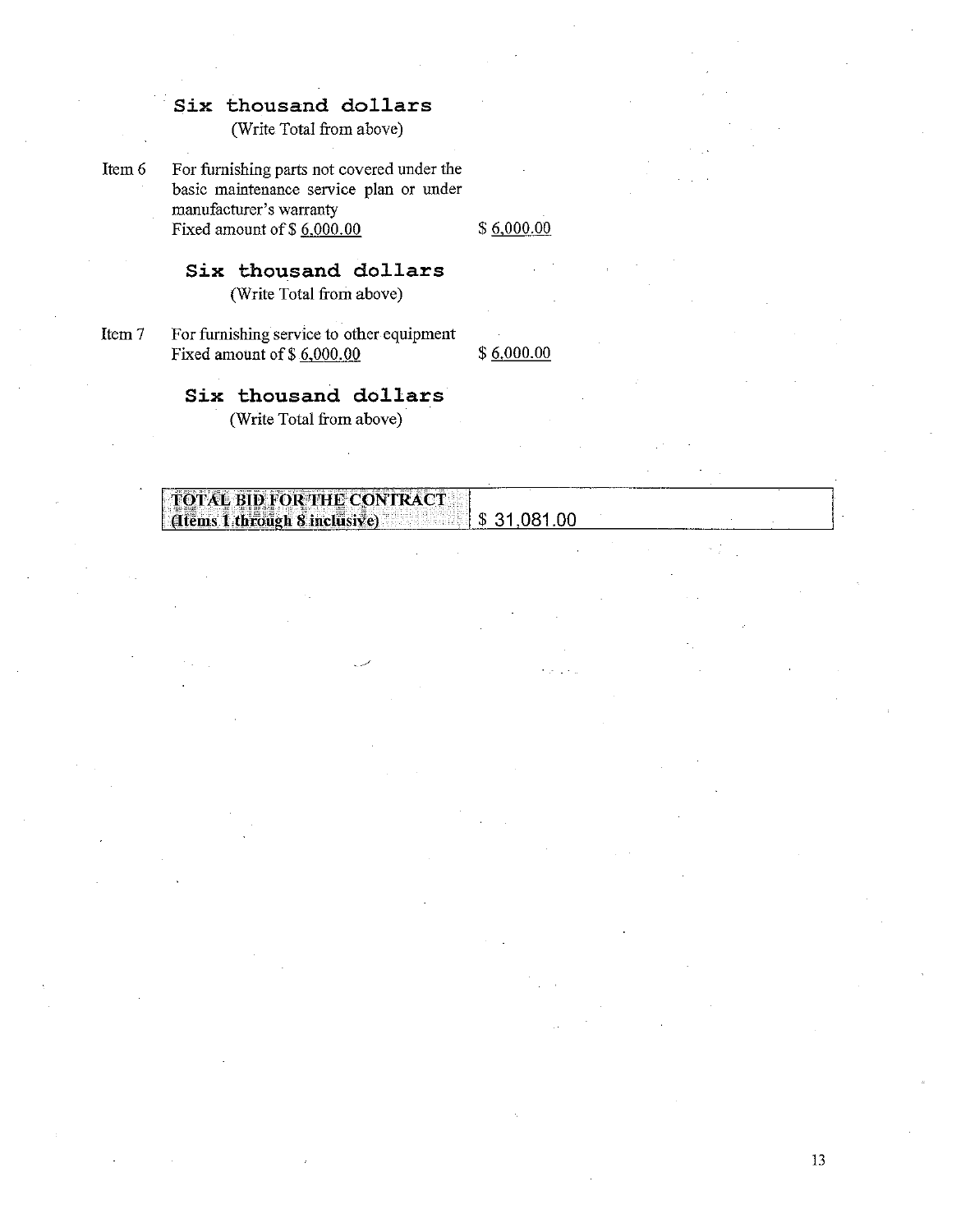(Write Total from above)

Item 6

For furnishing parts not covered under the basic maintenance service plan or under manufacturer's warranty Fixed amount of  $$6,000.00$ 

 $$6,000.00$ 

### Six thousand dollars

(Write Total from above)

Item 7

For furnishing service to other equipment Fixed amount of  $$6,000.00$ 

 $$6,000.00$ 

### Six thousand dollars

(Write Total from above)

| _______________<br>بببس<br>∦L 7 95 &                                                                                                                                                         |  |
|----------------------------------------------------------------------------------------------------------------------------------------------------------------------------------------------|--|
|                                                                                                                                                                                              |  |
| $\mid$ TOTAL BID FOR THE CONTRACT                                                                                                                                                            |  |
|                                                                                                                                                                                              |  |
| .06<br>$\sim$ $\alpha$ inclusive)<br>. ಪರಿಣೆದ ಬಿ. ಹಾಯಿ<br><br>- 496<br>l through X<br>או.                                                                                                    |  |
| dtem<br>٠п<br>计开关系统 机双重的<br><b>CONTRACTOR DE SON EN 1999</b><br>.<br><b>一个人,我们也不能让我们的人。"</b><br>and the property of the control of the control of the control of the control of<br>A Control |  |
| -------                                                                                                                                                                                      |  |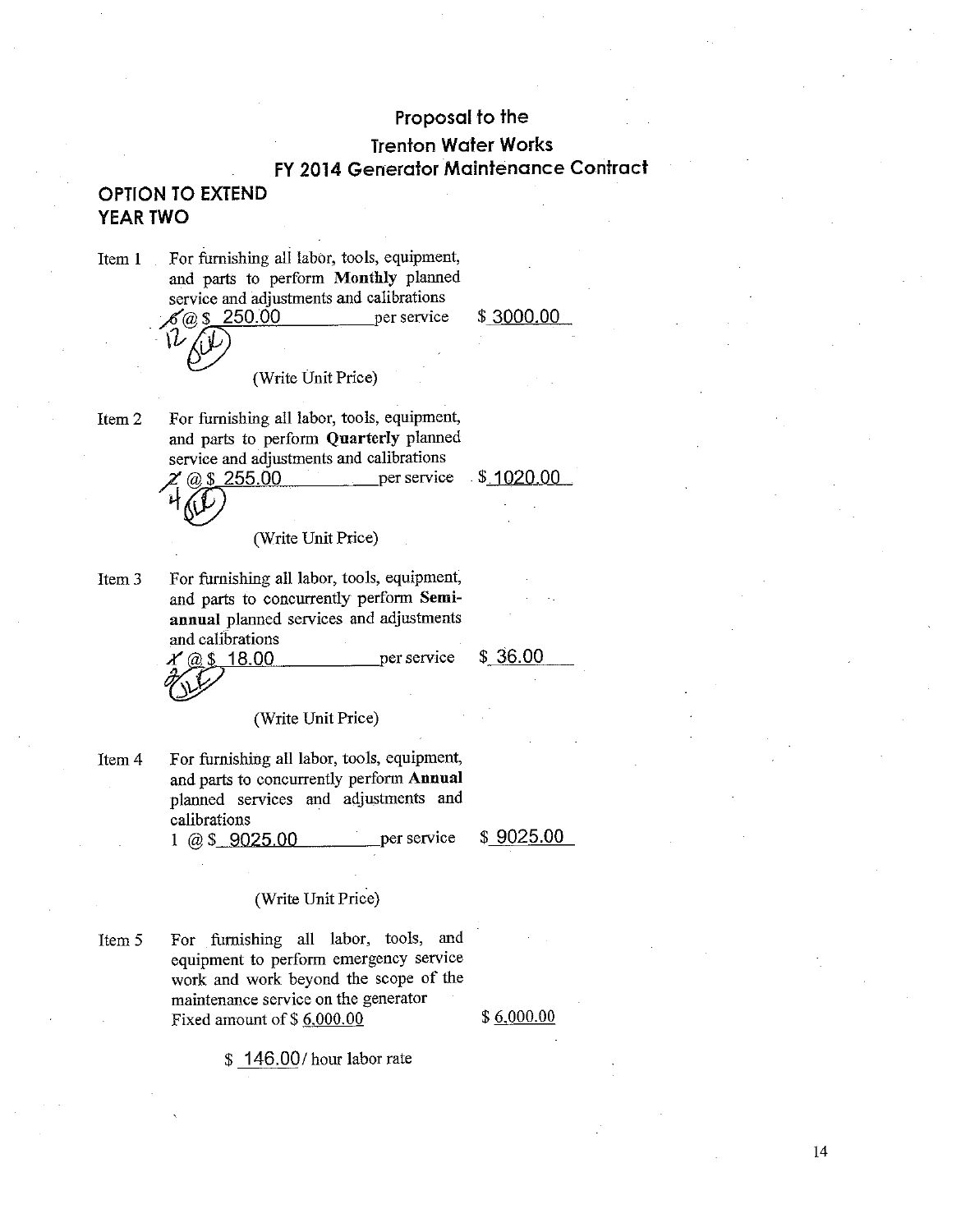### Proposal to the

# **Trenton Water Works** FY 2014 Generator Maintenance Contract

### **OPTION TO EXTEND** YEAR TWO

For furnishing all labor, tools, equipment, Item 1 and parts to perform Monthly planned service and adjustments and calibrations  $(a)$  \$ 250.00 per service

\$3000.00

(Write Unit Price)

For furnishing all labor, tools, equipment, Item 2 and parts to perform Quarterly planned service and adjustments and calibrations per service @ \$ 255.00

 $$1020.00$ 

(Write Unit Price)

Item<sub>3</sub> For furnishing all labor, tools, equipment, and parts to concurrently perform Semiannual planned services and adjustments and calibrations

\$36.00

per service

 $X$  @ \$ 18.00

(Write Unit Price)

For furnishing all labor, tools, equipment, Item 4 and parts to concurrently perform Annual planned services and adjustments and calibrations

> per service  $1 \quad \omega$  \$ 9025.00

 $$9025.00$ 

### (Write Unit Price)

For furnishing all labor, tools, and Item 5 equipment to perform emergency service work and work beyond the scope of the maintenance service on the generator Fixed amount of \$6,000.00

 $$6,000.00$ 

\$146.00/hour labor rate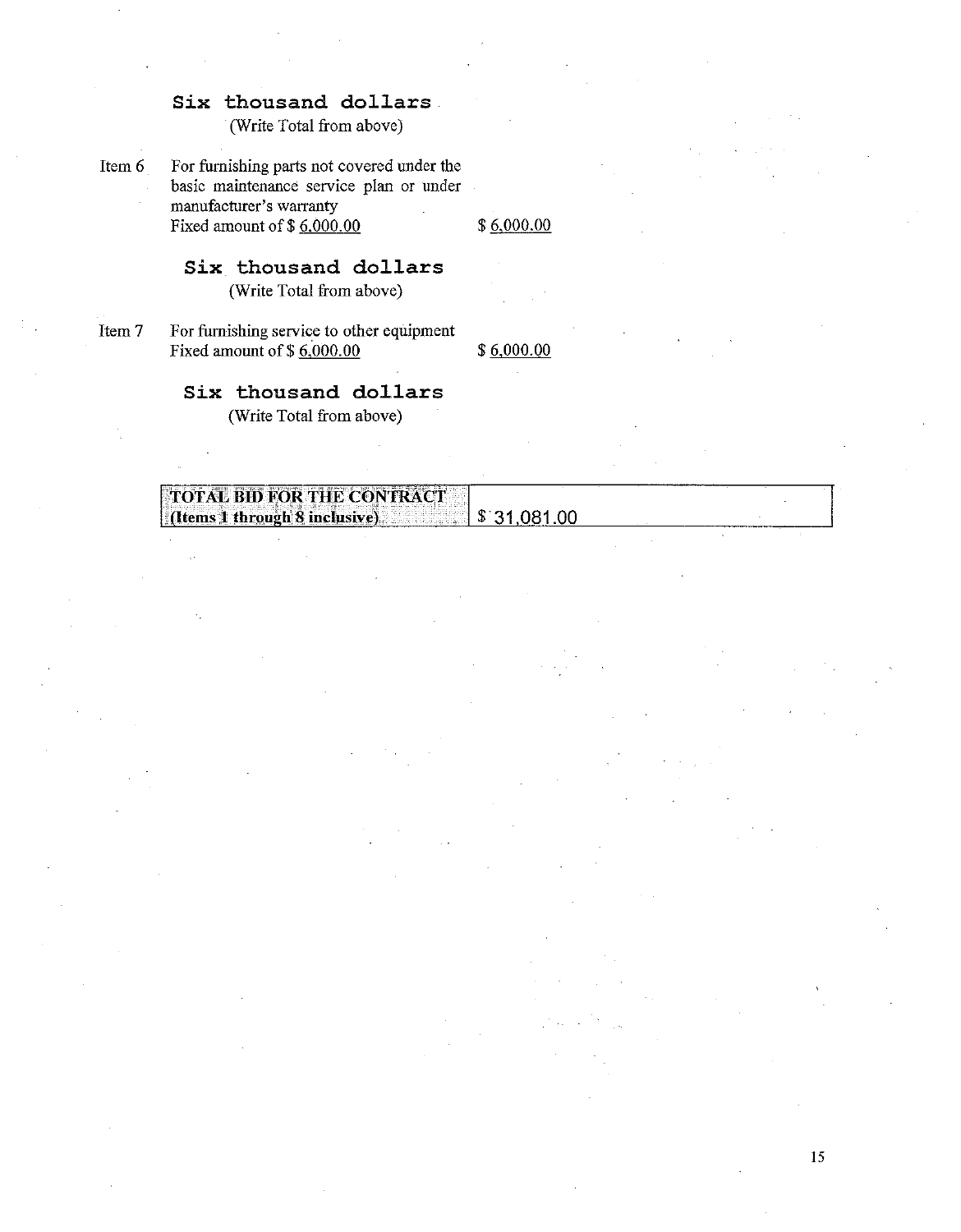(Write Total from above)

Item 6

For furnishing parts not covered under the basic maintenance service plan or under manufacturer's warranty Fixed amount of  $$6,000.00$ 

 $$6,000.00$ 

# Six thousand dollars

(Write Total from above)

Item 7 For furnishing service to other equipment Fixed amount of  $$6,000.00$ 

 $$6,000.00$ 

### Six thousand dollars

(Write Total from above)

| $\sim$ $-$<br>.€T<br>ROR.<br>.<br>'ASE RITY<br>$\sim$ $\sim$ $\sim$<br>.                                           |                |  |
|--------------------------------------------------------------------------------------------------------------------|----------------|--|
| 77.000<br>$\sim$<br><br>111                                                                                        |                |  |
| .                                                                                                                  |                |  |
| $\sim$<br>×<br>вт                                                                                                  |                |  |
| rough.<br>w<br>누구는 나는 유사의 부부부 부부로 하나요?<br>$-$<br>.<br>, material of the control flux of the control of the control |                |  |
|                                                                                                                    | ______________ |  |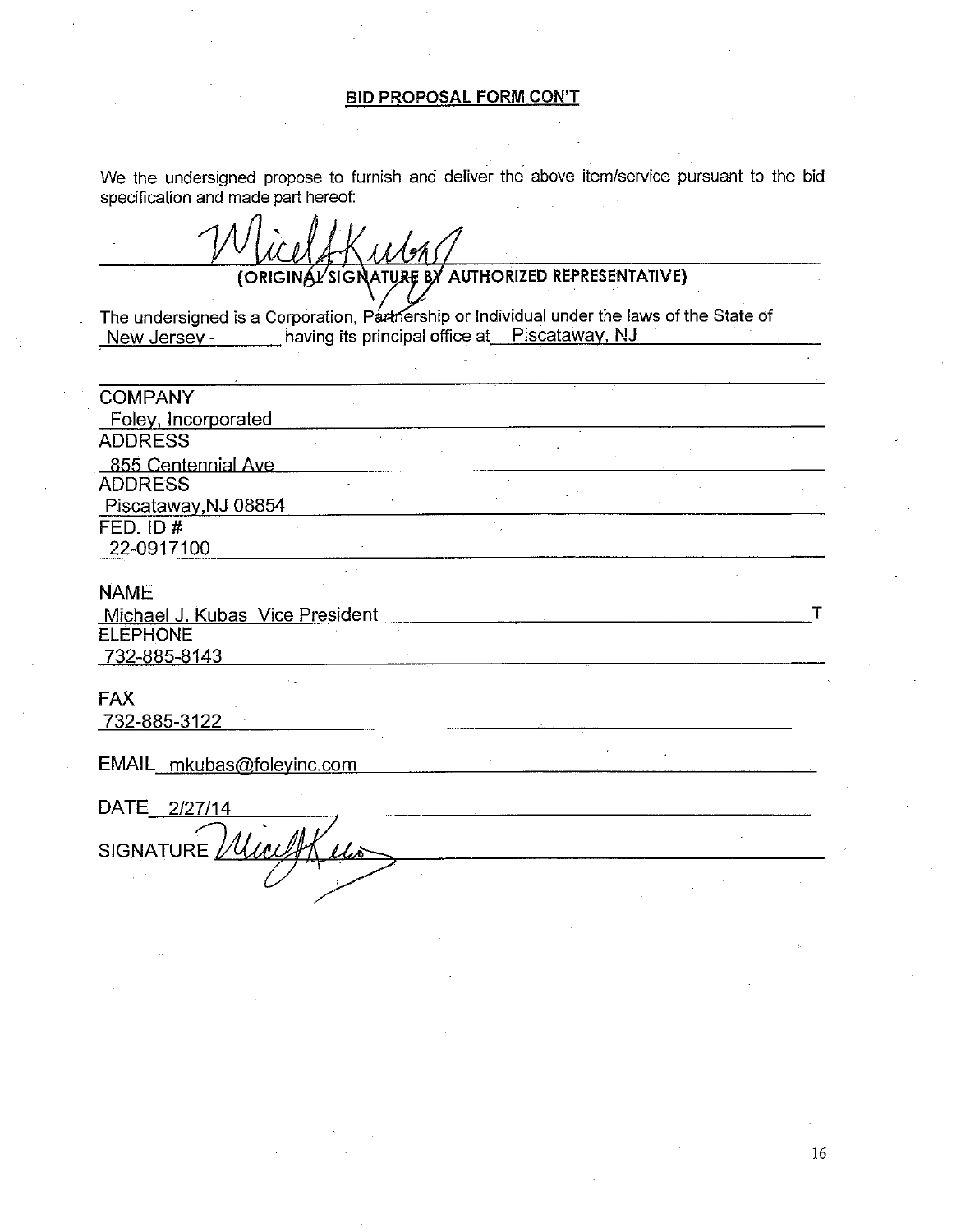### **BID PROPOSAL FORM CON'T**

We the undersigned propose to furnish and deliver the above item/service pursuant to the bid specification and made part hereof:

(ORIGINAL'SIGNATURE BY AUTHORIZED REPRESENTATIVE)

The undersigned is a Corporation, Partnership or Individual under the laws of the State of New Jersey \_\_\_\_\_\_\_ having its principal office at Piscataway, NJ

| <b>COMPANY</b>                  |  |
|---------------------------------|--|
| Foley, Incorporated             |  |
| <b>ADDRESS</b>                  |  |
| 855 Centennial Ave              |  |
| <b>ADDRESS</b>                  |  |
| Piscataway, NJ 08854            |  |
| FED. ID $#$                     |  |
| 22-0917100                      |  |
| <b>NAME</b>                     |  |
| Michael J. Kubas Vice President |  |
| <b>ELEPHONE</b>                 |  |
| 732-885-8143                    |  |
| <b>FAX</b>                      |  |
| 732-885-3122                    |  |
|                                 |  |
| EMAIL_mkubas@foleyinc.com       |  |
|                                 |  |
| DATE 2/27/14                    |  |
| SIGNATURE //WWW                 |  |
|                                 |  |
|                                 |  |
|                                 |  |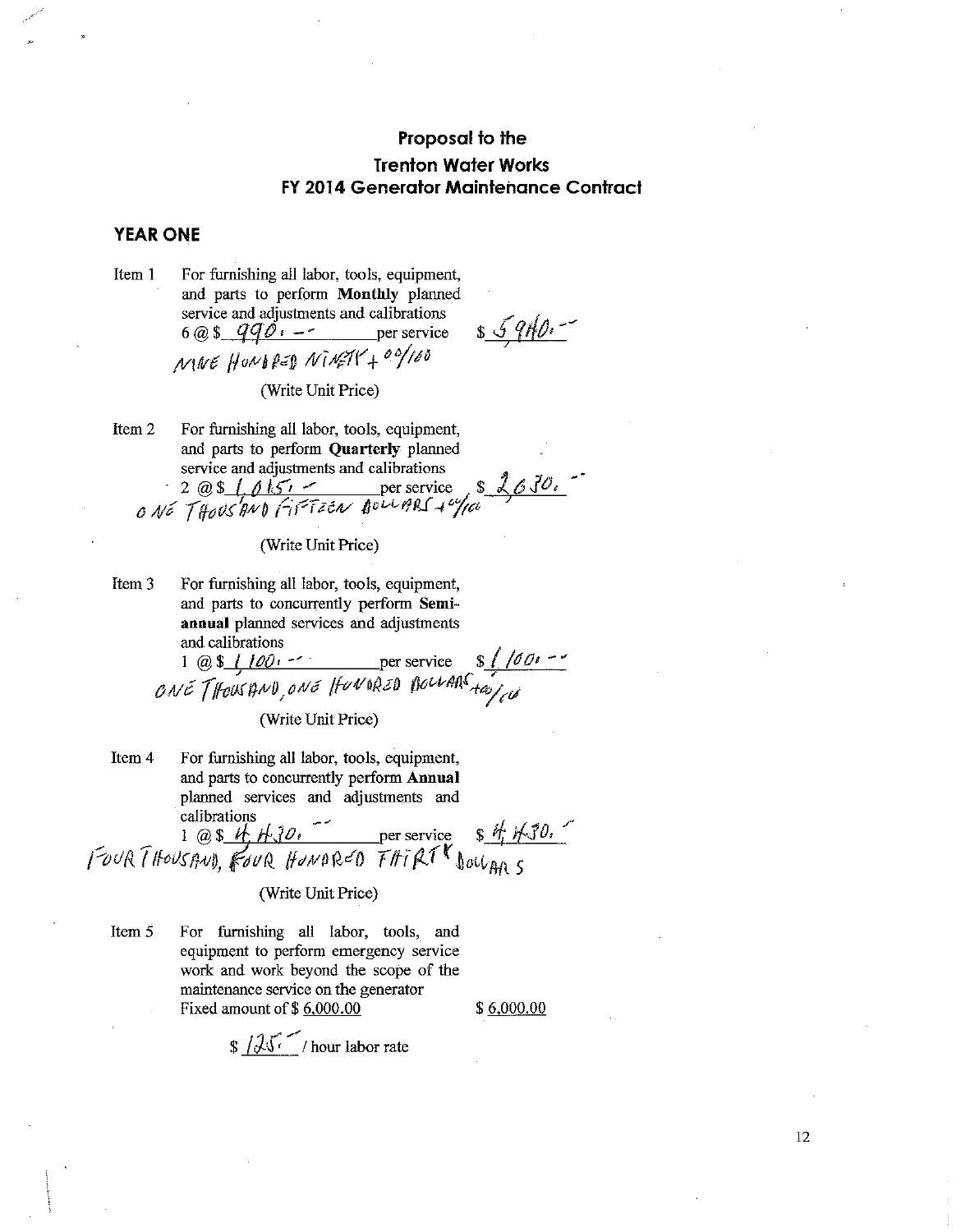### **YEAR ONE**

For furnishing all labor, tools, equipment, Item 1 and parts to perform Monthly planned service and adjustments and calibrations  $6@$$   $qq\phi$ ,  $-$  per service  $MWE$  HUNDRED NINETY + 00/100

 $s.5910.$ 

(Write Unit Price)

Item 2 For furnishing all labor, tools, equipment, and parts to perform Quarterly planned service and adjustments and calibrations

 $2 @ S.f. 0157 -$  per service  $82630.$ 

(Write Unit Price)

Item 3 For furnishing all labor, tools, equipment, and parts to concurrently perform Semiannual planned services and adjustments and calibrations

1 @ \$  $\frac{100}{100}$  per service \$  $\frac{100}{100}$ <br>  $0 \le \int$  fous AND,  $0 \le \int$  fou AR  $\frac{100}{100}$  four ARS

(Write Unit Price)

Item 4 For furnishing all labor, tools, equipment, and parts to concurrently perform Annual planned services and adjustments and calibrations

Four THOUSAND, FOUR HONDRED THIRT DOUGH 5

(Write Unit Price)

Item 5 For furnishing all labor, tools, and equipment to perform emergency service work and work beyond the scope of the maintenance service on the generator Fixed amount of \$6,000.00

 $$6,000.00$ 

 $\sqrt{3\sqrt{2}}$ /hour labor rate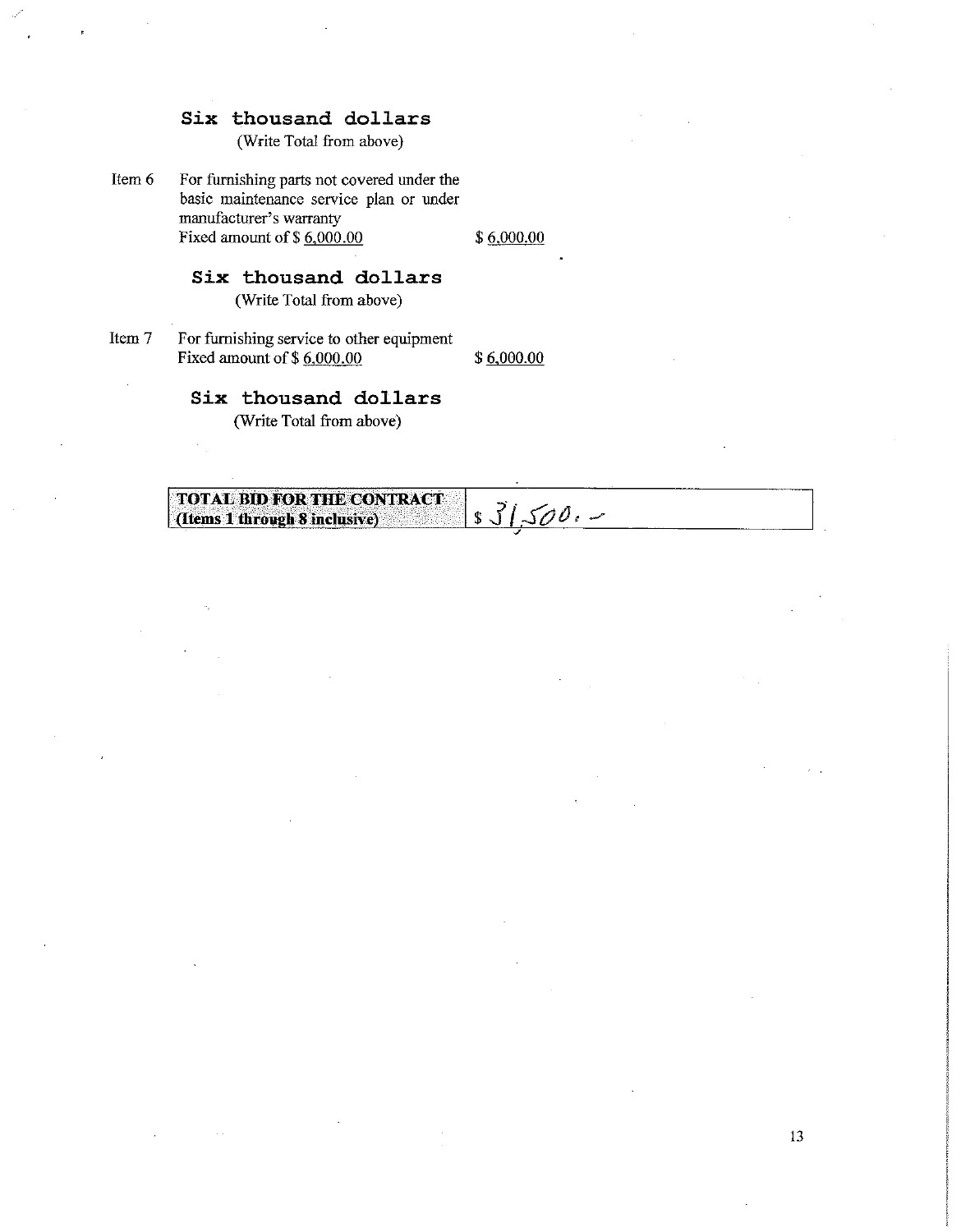(Write Total from above)

Item 6 For furnishing parts not covered under the basic maintenance service plan or under manufacturer's warranty Fixed amount of  $$6,000.00$ 

 $$6,000.00$ 

### Six thousand dollars

(Write Total from above)

Item 7 For furnishing service to other equipment Fixed amount of \$6,000.00

 $$6,000.00$ 

### Six thousand dollars

(Write Total from above)

#### **TOTAL BID FOR THE CONTRACT**  $s31,500. -$ (Items 1 through 8 inclusive)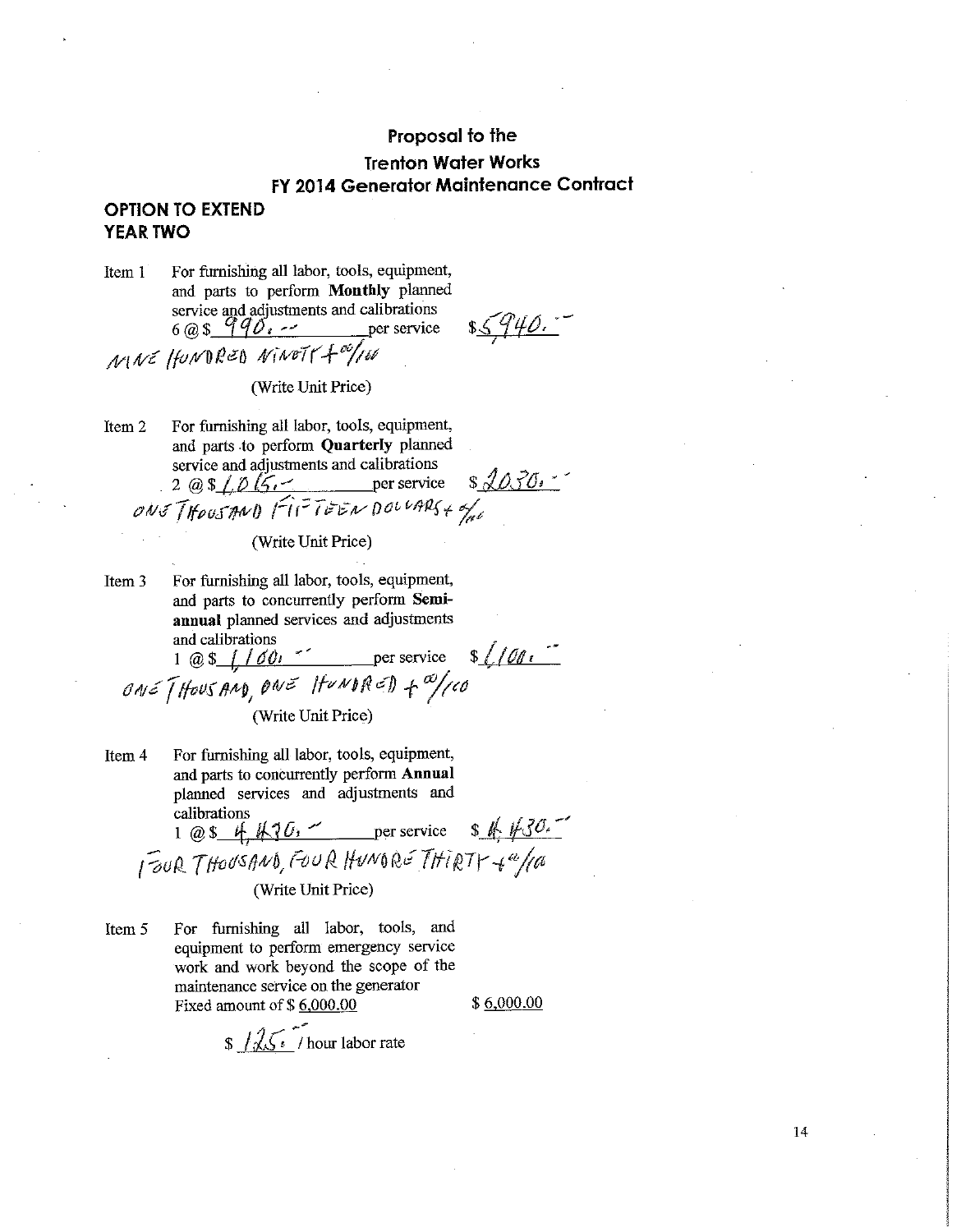### **OPTION TO EXTEND YEAR TWO**

Item 1 For furnishing all labor, tools, equipment, and parts to perform Monthly planned service and adjustments and calibrations  $6 \text{ @ } $90.2$ MNE HUNDRED NINETY + 00/160

(Write Unit Price)

For furnishing all labor, tools, equipment, Item 2 and parts to perform Quarterly planned service and adjustments and calibrations  $2 @ 1015.$  per service  $32030.$ <br>
ONS THOUSAND FITTEEN DOLLARS + of

(Write Unit Price)

For furnishing all labor, tools, equipment, Item 3 and parts to concurrently perform Semiannual planned services and adjustments and calibrations

1 @  $\frac{1}{\sqrt{60}}$  /  $\frac{1}{\sqrt{60}}$  er service  $\frac{1}{\sqrt{60}}$ ONE [HOUSAND, ONE HUNDRED + a/100

(Write Unit Price)

- Item 4 For furnishing all labor, tools, equipment, and parts to concurrently perform Annual planned services and adjustments and calibrations 1 @ \$ 4, 1630. per service \$ 4, 1630. (Write Unit Price)
- For furnishing all labor, tools, and Item 5 equipment to perform emergency service work and work beyond the scope of the maintenance service on the generator Fixed amount of \$6,000.00

 $$6,000.00$ 

 $\frac{1}{2}$  /  $\frac{1}{2}$  / hour labor rate